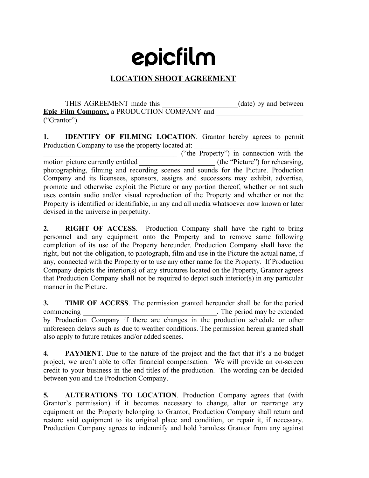## epicfilm

## **LOCATION SHOOT AGREEMENT**

THIS AGREEMENT made this **a** (date) by and between **Epic Film Company,** a PRODUCTION COMPANY and **\_\_\_\_\_\_\_\_\_\_\_\_\_\_\_\_\_\_\_\_\_\_\_\_** ("Grantor").

**1. IDENTIFY OF FILMING LOCATION**. Grantor hereby agrees to permit Production Company to use the property located at:

\_\_\_\_\_\_\_\_\_\_\_\_\_\_\_\_\_\_\_\_\_\_\_\_\_\_\_\_\_\_\_\_\_\_\_\_\_ ("the Property") in connection with the motion picture currently entitled *(the "Picture")* for rehearsing, photographing, filming and recording scenes and sounds for the Picture. Production Company and its licensees, sponsors, assigns and successors may exhibit, advertise, promote and otherwise exploit the Picture or any portion thereof, whether or not such uses contain audio and/or visual reproduction of the Property and whether or not the Property is identified or identifiable, in any and all media whatsoever now known or later devised in the universe in perpetuity.

**2. RIGHT OF ACCESS**. Production Company shall have the right to bring personnel and any equipment onto the Property and to remove same following completion of its use of the Property hereunder. Production Company shall have the right, but not the obligation, to photograph, film and use in the Picture the actual name, if any, connected with the Property or to use any other name for the Property. If Production Company depicts the interior(s) of any structures located on the Property, Grantor agrees that Production Company shall not be required to depict such interior(s) in any particular manner in the Picture.

**3. TIME OF ACCESS**. The permission granted hereunder shall be for the period commencing **and the commencing and the commencing and the commencing and the commencing and the commencing** by Production Company if there are changes in the production schedule or other unforeseen delays such as due to weather conditions. The permission herein granted shall also apply to future retakes and/or added scenes.

**4. PAYMENT**. Due to the nature of the project and the fact that it's a no-budget project, we aren't able to offer financial compensation. We will provide an on-screen credit to your business in the end titles of the production. The wording can be decided between you and the Production Company.

**5. ALTERATIONS TO LOCATION**. Production Company agrees that (with Grantor's permission) if it becomes necessary to change, alter or rearrange any equipment on the Property belonging to Grantor, Production Company shall return and restore said equipment to its original place and condition, or repair it, if necessary. Production Company agrees to indemnify and hold harmless Grantor from any against